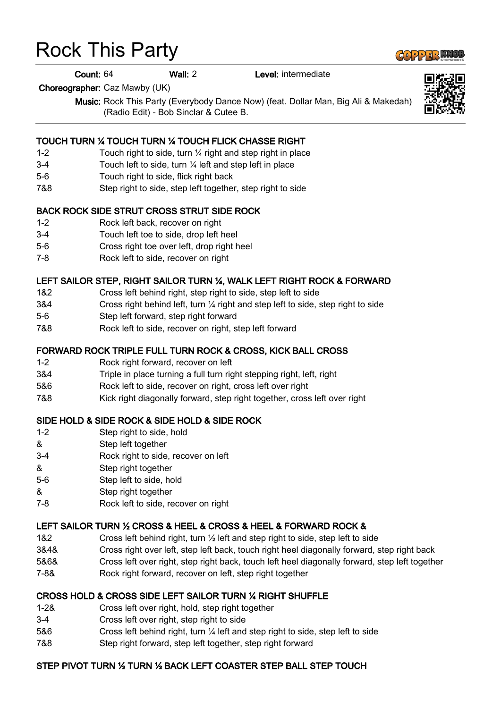# Rock This Party

Count: 64 Wall: 2 Level: intermediate

Choreographer: Caz Mawby (UK)

Music: Rock This Party (Everybody Dance Now) (feat. Dollar Man, Big Ali & Makedah) (Radio Edit) - Bob Sinclar & Cutee B.

#### TOUCH TURN ¼ TOUCH TURN ¼ TOUCH FLICK CHASSE RIGHT

- 1-2 Touch right to side, turn ¼ right and step right in place
- 3-4 Touch left to side, turn ¼ left and step left in place
- 5-6 Touch right to side, flick right back
- 7&8 Step right to side, step left together, step right to side

#### BACK ROCK SIDE STRUT CROSS STRUT SIDE ROCK

- 1-2 Rock left back, recover on right
- 3-4 Touch left toe to side, drop left heel
- 5-6 Cross right toe over left, drop right heel
- 7-8 Rock left to side, recover on right

#### LEFT SAILOR STEP, RIGHT SAILOR TURN ¼, WALK LEFT RIGHT ROCK & FORWARD

- 1&2 Cross left behind right, step right to side, step left to side
- 3&4 Cross right behind left, turn ¼ right and step left to side, step right to side
- 5-6 Step left forward, step right forward
- 7&8 Rock left to side, recover on right, step left forward

#### FORWARD ROCK TRIPLE FULL TURN ROCK & CROSS, KICK BALL CROSS

- 1-2 Rock right forward, recover on left
- 3&4 Triple in place turning a full turn right stepping right, left, right
- 5&6 Rock left to side, recover on right, cross left over right
- 7&8 Kick right diagonally forward, step right together, cross left over right

#### SIDE HOLD & SIDE ROCK & SIDE HOLD & SIDE ROCK

- 1-2 Step right to side, hold
- & Step left together
- 3-4 Rock right to side, recover on left
- & Step right together
- 5-6 Step left to side, hold
- & Step right together
- 7-8 Rock left to side, recover on right

#### LEFT SAILOR TURN ½ CROSS & HEEL & CROSS & HEEL & FORWARD ROCK &

- 1&2 Cross left behind right, turn ½ left and step right to side, step left to side
- 3&4& Cross right over left, step left back, touch right heel diagonally forward, step right back
- 5&6& Cross left over right, step right back, touch left heel diagonally forward, step left together
- 7-8& Rock right forward, recover on left, step right together

#### CROSS HOLD & CROSS SIDE LEFT SAILOR TURN ¼ RIGHT SHUFFLE

- 1-2& Cross left over right, hold, step right together
- 3-4 Cross left over right, step right to side
- 5&6 Cross left behind right, turn ¼ left and step right to side, step left to side
- 7&8 Step right forward, step left together, step right forward

## STEP PIVOT TURN ½ TURN ½ BACK LEFT COASTER STEP BALL STEP TOUCH